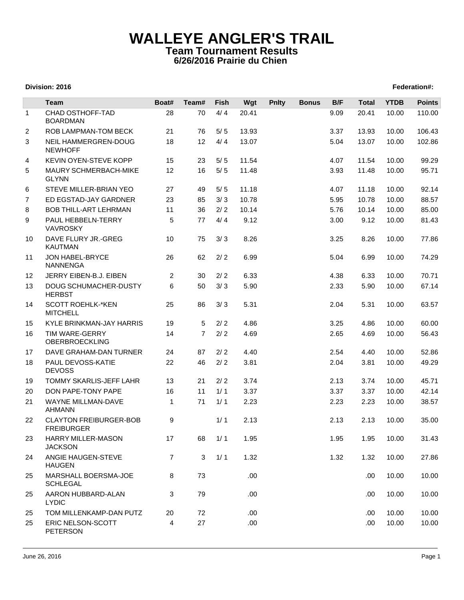## **WALLEYE ANGLER'S TRAIL Team Tournament Results 6/26/2016 Prairie du Chien**

## **Division: 2016 Federation#:**

|                | <b>Team</b>                                        | Boat#          | Team#          | Fish  | Wgt   | <b>Pnlty</b> | <b>Bonus</b> | B/F  | <b>Total</b> | <b>YTDB</b> | <b>Points</b> |
|----------------|----------------------------------------------------|----------------|----------------|-------|-------|--------------|--------------|------|--------------|-------------|---------------|
| $\mathbf{1}$   | CHAD OSTHOFF-TAD                                   | 28             | 70             | 4/4   | 20.41 |              |              | 9.09 | 20.41        | 10.00       | 110.00        |
|                | <b>BOARDMAN</b>                                    |                |                |       |       |              |              |      |              |             |               |
| $\overline{2}$ | ROB LAMPMAN-TOM BECK                               | 21             | 76             | 5/5   | 13.93 |              |              | 3.37 | 13.93        | 10.00       | 106.43        |
| 3              | NEIL HAMMERGREN-DOUG<br><b>NEWHOFF</b>             | 18             | 12             | 4/4   | 13.07 |              |              | 5.04 | 13.07        | 10.00       | 102.86        |
| 4              | KEVIN OYEN-STEVE KOPP                              | 15             | 23             | 5/5   | 11.54 |              |              | 4.07 | 11.54        | 10.00       | 99.29         |
| 5              | <b>MAURY SCHMERBACH-MIKE</b><br><b>GLYNN</b>       | 12             | 16             | $5/5$ | 11.48 |              |              | 3.93 | 11.48        | 10.00       | 95.71         |
| 6              | STEVE MILLER-BRIAN YEO                             | 27             | 49             | $5/5$ | 11.18 |              |              | 4.07 | 11.18        | 10.00       | 92.14         |
| $\overline{7}$ | ED EGSTAD-JAY GARDNER                              | 23             | 85             | 3/3   | 10.78 |              |              | 5.95 | 10.78        | 10.00       | 88.57         |
| 8              | <b>BOB THILL-ART LEHRMAN</b>                       | 11             | 36             | 2/2   | 10.14 |              |              | 5.76 | 10.14        | 10.00       | 85.00         |
| 9              | PAUL HEBBELN-TERRY<br>VAVROSKY                     | 5              | 77             | 4/4   | 9.12  |              |              | 3.00 | 9.12         | 10.00       | 81.43         |
| 10             | DAVE FLURY JR.-GREG<br><b>KAUTMAN</b>              | 10             | 75             | 3/3   | 8.26  |              |              | 3.25 | 8.26         | 10.00       | 77.86         |
| 11             | JON HABEL-BRYCE<br><b>NANNENGA</b>                 | 26             | 62             | 2/2   | 6.99  |              |              | 5.04 | 6.99         | 10.00       | 74.29         |
| 12             | JERRY EIBEN-B.J. EIBEN                             | 2              | 30             | 2/2   | 6.33  |              |              | 4.38 | 6.33         | 10.00       | 70.71         |
| 13             | <b>DOUG SCHUMACHER-DUSTY</b><br><b>HERBST</b>      | 6              | 50             | 3/3   | 5.90  |              |              | 2.33 | 5.90         | 10.00       | 67.14         |
| 14             | <b>SCOTT ROEHLK-*KEN</b><br><b>MITCHELL</b>        | 25             | 86             | 3/3   | 5.31  |              |              | 2.04 | 5.31         | 10.00       | 63.57         |
| 15             | KYLE BRINKMAN-JAY HARRIS                           | 19             | 5              | 2/2   | 4.86  |              |              | 3.25 | 4.86         | 10.00       | 60.00         |
| 16             | <b>TIM WARE-GERRY</b><br><b>OBERBROECKLING</b>     | 14             | $\overline{7}$ | 2/2   | 4.69  |              |              | 2.65 | 4.69         | 10.00       | 56.43         |
| 17             | DAVE GRAHAM-DAN TURNER                             | 24             | 87             | 2/2   | 4.40  |              |              | 2.54 | 4.40         | 10.00       | 52.86         |
| 18             | PAUL DEVOSS-KATIE<br><b>DEVOSS</b>                 | 22             | 46             | $2/2$ | 3.81  |              |              | 2.04 | 3.81         | 10.00       | 49.29         |
| 19             | <b>TOMMY SKARLIS-JEFF LAHR</b>                     | 13             | 21             | 2/2   | 3.74  |              |              | 2.13 | 3.74         | 10.00       | 45.71         |
| 20             | DON PAPE-TONY PAPE                                 | 16             | 11             | 1/1   | 3.37  |              |              | 3.37 | 3.37         | 10.00       | 42.14         |
| 21             | WAYNE MILLMAN-DAVE<br><b>AHMANN</b>                | 1              | 71             | 1/1   | 2.23  |              |              | 2.23 | 2.23         | 10.00       | 38.57         |
| 22             | <b>CLAYTON FREIBURGER-BOB</b><br><b>FREIBURGER</b> | 9              |                | 1/1   | 2.13  |              |              | 2.13 | 2.13         | 10.00       | 35.00         |
| 23             | HARRY MILLER-MASON<br><b>JACKSON</b>               | 17             | 68             | 1/1   | 1.95  |              |              | 1.95 | 1.95         | 10.00       | 31.43         |
| 24             | ANGIE HAUGEN-STEVE<br><b>HAUGEN</b>                | $\overline{7}$ | 3              | 1/1   | 1.32  |              |              | 1.32 | 1.32         | 10.00       | 27.86         |
| 25             | MARSHALL BOERSMA-JOE<br><b>SCHLEGAL</b>            | 8              | 73             |       | .00   |              |              |      | .00.         | 10.00       | 10.00         |
| 25             | AARON HUBBARD-ALAN<br><b>LYDIC</b>                 | 3              | 79             |       | .00   |              |              |      | .00          | 10.00       | 10.00         |
| 25             | TOM MILLENKAMP-DAN PUTZ                            | 20             | 72             |       | .00   |              |              |      | .00          | 10.00       | 10.00         |
| 25             | ERIC NELSON-SCOTT<br><b>PETERSON</b>               | 4              | 27             |       | .00.  |              |              |      | .00          | 10.00       | 10.00         |